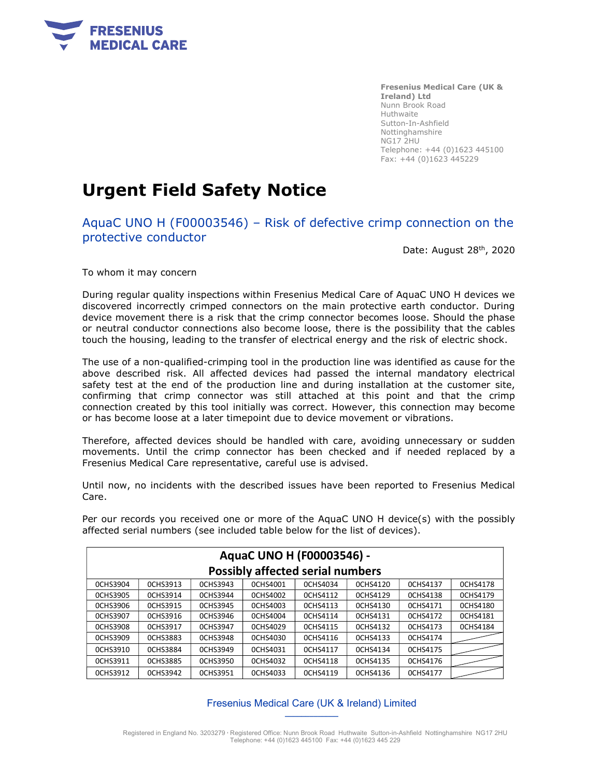

Fresenius Medical Care (UK & Ireland) Ltd Nunn Brook Road Huthwaite Sutton-In-Ashfield Nottinghamshire NG17 2HU Telephone: +44 (0)1623 445100 Fax: +44 (0)1623 445229

# Urgent Field Safety Notice

AquaC UNO H (F00003546) – Risk of defective crimp connection on the protective conductor

Date: August 28th, 2020

To whom it may concern

During regular quality inspections within Fresenius Medical Care of AquaC UNO H devices we discovered incorrectly crimped connectors on the main protective earth conductor. During device movement there is a risk that the crimp connector becomes loose. Should the phase or neutral conductor connections also become loose, there is the possibility that the cables touch the housing, leading to the transfer of electrical energy and the risk of electric shock.

The use of a non-qualified-crimping tool in the production line was identified as cause for the above described risk. All affected devices had passed the internal mandatory electrical safety test at the end of the production line and during installation at the customer site, confirming that crimp connector was still attached at this point and that the crimp connection created by this tool initially was correct. However, this connection may become or has become loose at a later timepoint due to device movement or vibrations.

Therefore, affected devices should be handled with care, avoiding unnecessary or sudden movements. Until the crimp connector has been checked and if needed replaced by a Fresenius Medical Care representative, careful use is advised.

Until now, no incidents with the described issues have been reported to Fresenius Medical Care.

Per our records you received one or more of the AquaC UNO H device(s) with the possibly

affected serial numbers (see included table below for the list of devices). AquaC UNO H (F00003546) -

| <b>Possibly affected serial numbers</b> |                 |                 |                 |          |          |                 |                 |
|-----------------------------------------|-----------------|-----------------|-----------------|----------|----------|-----------------|-----------------|
| <b>OCHS3904</b>                         | 0CHS3913        | 0CHS3943        | <b>OCHS4001</b> | 0CHS4034 | 0CHS4120 | <b>OCHS4137</b> | <b>OCHS4178</b> |
| <b>OCHS3905</b>                         | 0CHS3914        | 0CHS3944        | <b>OCHS4002</b> | 0CHS4112 | 0CHS4129 | <b>OCHS4138</b> | <b>OCHS4179</b> |
| <b>OCHS3906</b>                         | <b>OCHS3915</b> | <b>OCHS3945</b> | <b>OCHS4003</b> | 0CHS4113 | 0CHS4130 | 0CHS4171        | <b>OCHS4180</b> |
| <b>OCHS3907</b>                         | <b>OCHS3916</b> | 0CHS3946        | 0CHS4004        | 0CHS4114 | 0CHS4131 | 0CHS4172        | <b>OCHS4181</b> |
| <b>OCHS3908</b>                         | 0CHS3917        | 0CHS3947        | <b>OCHS4029</b> | 0CHS4115 | 0CHS4132 | 0CHS4173        | <b>OCHS4184</b> |
| <b>OCHS3909</b>                         | <b>OCHS3883</b> | <b>OCHS3948</b> | 0CHS4030        | 0CHS4116 | 0CHS4133 | 0CHS4174        |                 |
| <b>OCHS3910</b>                         | <b>OCHS3884</b> | 0CHS3949        | 0CHS4031        | 0CHS4117 | 0CHS4134 | 0CHS4175        |                 |
| 0CHS3911                                | <b>OCHS3885</b> | <b>OCHS3950</b> | 0CHS4032        | 0CHS4118 | 0CHS4135 | 0CHS4176        |                 |
| <b>OCHS3912</b>                         | 0CHS3942        | <b>OCHS3951</b> | <b>OCHS4033</b> | 0CHS4119 | 0CHS4136 | 0CHS4177        |                 |

#### Fresenius Medical Care (UK & Ireland) Limited  $\overline{\phantom{a}}$

Registered in England No. 3203279 Registered Office: Nunn Brook Road Huthwaite Sutton-in-Ashfield Nottinghamshire NG17 2HU Telephone: +44 (0)1623 445100 Fax: +44 (0)1623 445 229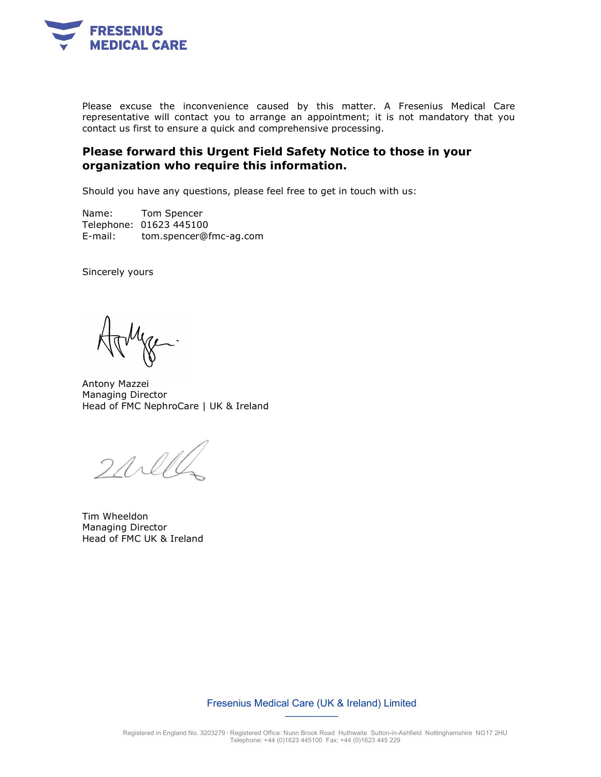

Please excuse the inconvenience caused by this matter. A Fresenius Medical Care representative will contact you to arrange an appointment; it is not mandatory that you contact us first to ensure a quick and comprehensive processing.

### Please forward this Urgent Field Safety Notice to those in your organization who require this information.

Should you have any questions, please feel free to get in touch with us:

Name: Tom Spencer Telephone: 01623 445100 E-mail: tom.spencer@fmc-ag.com

Sincerely yours

Antony Mazzei Managing Director Head of FMC NephroCare | UK & Ireland

 $2$ all

Tim Wheeldon Managing Director Head of FMC UK & Ireland

Fresenius Medical Care (UK & Ireland) Limited  $\overline{\phantom{a}}$